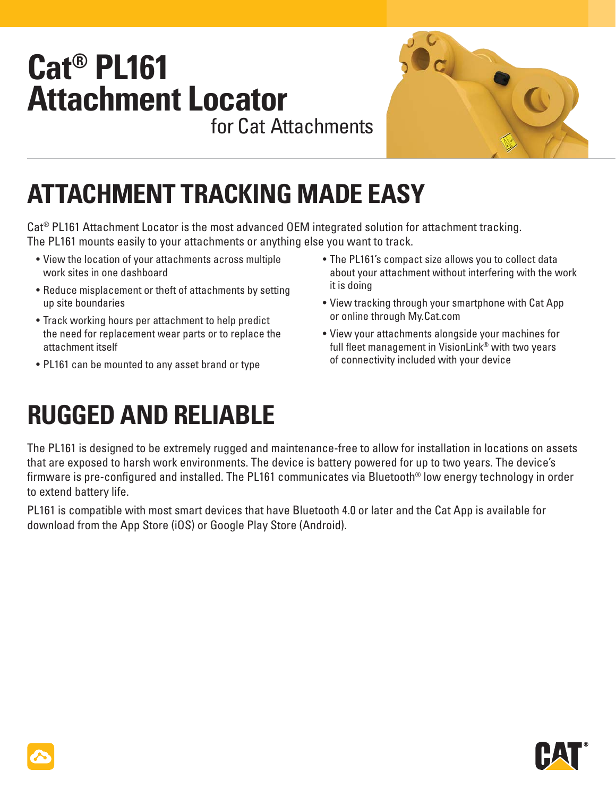## **Cat® PL161 Attachment Locator** for Cat Attachments



# **ATTACHMENT TRACKING MADE EASY**

Cat® PL161 Attachment Locator is the most advanced OEM integrated solution for attachment tracking. The PL161 mounts easily to your attachments or anything else you want to track.

- View the location of your attachments across multiple work sites in one dashboard
- Reduce misplacement or theft of attachments by setting up site boundaries
- Track working hours per attachment to help predict the need for replacement wear parts or to replace the attachment itself
- PL161 can be mounted to any asset brand or type
- The PL161's compact size allows you to collect data about your attachment without interfering with the work it is doing
- View tracking through your smartphone with Cat App or online through My.Cat.com
- View your attachments alongside your machines for full fleet management in VisionLink<sup>®</sup> with two years of connectivity included with your device

# **RUGGED AND RELIABLE**

The PL161 is designed to be extremely rugged and maintenance-free to allow for installation in locations on assets that are exposed to harsh work environments. The device is battery powered for up to two years. The device's firmware is pre-configured and installed. The PL161 communicates via Bluetooth<sup>®</sup> low energy technology in order to extend battery life.

PL161 is compatible with most smart devices that have Bluetooth 4.0 or later and the Cat App is available for download from the App Store (iOS) or Google Play Store (Android).